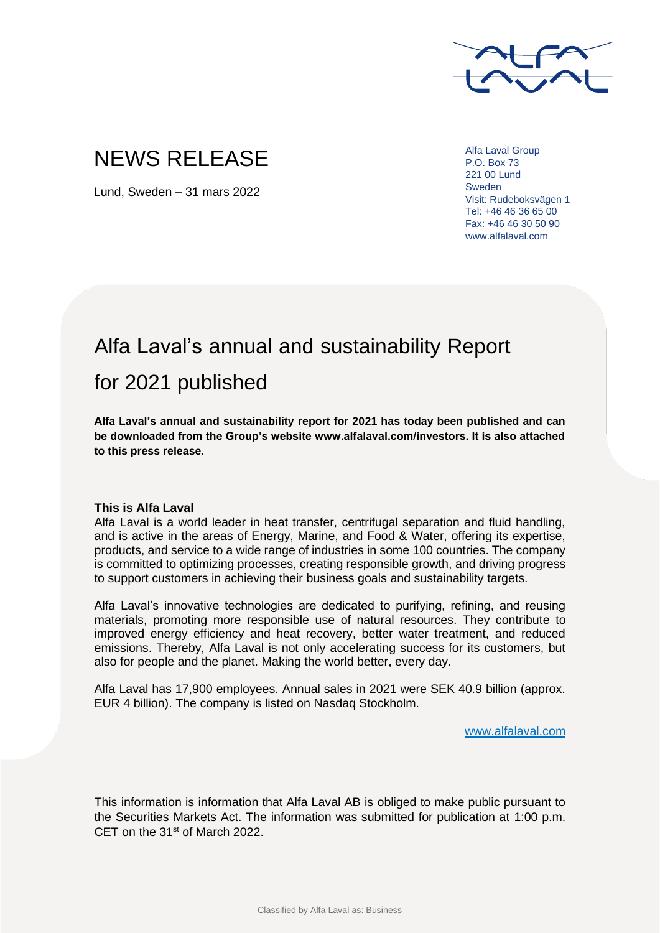

## NEWS RELEASE

Lund, Sweden – 31 mars 2022

Alfa Laval Group P.O. Box 73 221 00 Lund Sweden Visit: Rudeboksvägen 1 Tel: +46 46 36 65 00 Fax: +46 46 30 50 90 www.alfalaval.com

## Alfa Laval's annual and sustainability Report for 2021 published

**Alfa Laval's annual and sustainability report for 2021 has today been published and can be downloaded from the Group's website www.alfalaval.com/investors. It is also attached to this press release.**

## **This is Alfa Laval**

Alfa Laval is a world leader in heat transfer, centrifugal separation and fluid handling, and is active in the areas of Energy, Marine, and Food & Water, offering its expertise, products, and service to a wide range of industries in some 100 countries. The company is committed to optimizing processes, creating responsible growth, and driving progress to support customers in achieving their business goals and sustainability targets.

Alfa Laval's innovative technologies are dedicated to purifying, refining, and reusing materials, promoting more responsible use of natural resources. They contribute to improved energy efficiency and heat recovery, better water treatment, and reduced emissions. Thereby, Alfa Laval is not only accelerating success for its customers, but also for people and the planet. Making the world better, every day.

Alfa Laval has 17,900 employees. Annual sales in 2021 were SEK 40.9 billion (approx. EUR 4 billion). The company is listed on Nasdaq Stockholm.

www.alfalaval.com

This information is information that Alfa Laval AB is obliged to make public pursuant to the Securities Markets Act. The information was submitted for publication at 1:00 p.m. CET on the 31<sup>st</sup> of March 2022.